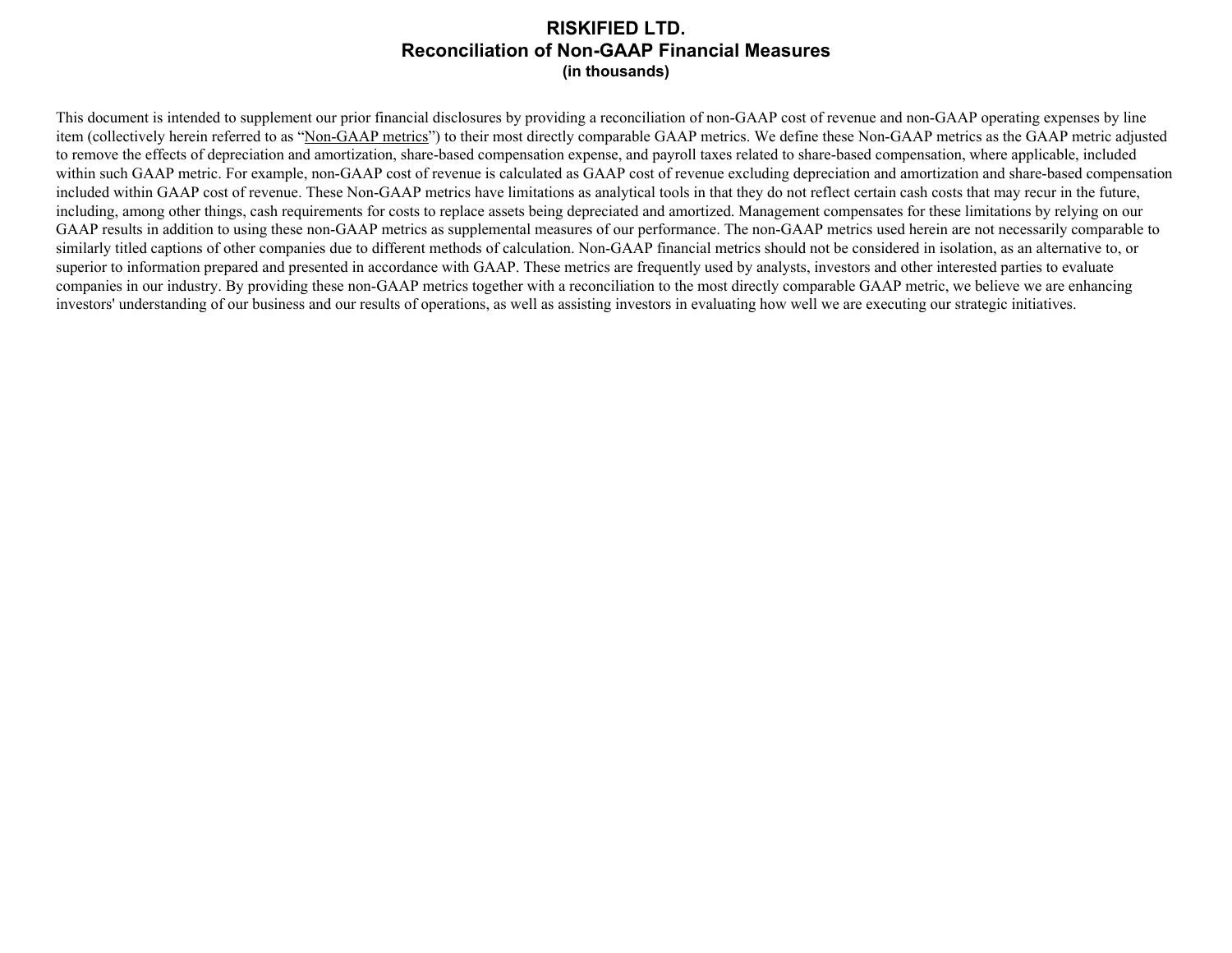## **RISKIFIED LTD. Reconciliation of Non-GAAP Financial Measures (in thousands)**

This document is intended to supplement our prior financial disclosures by providing a reconciliation of non-GAAP cost of revenue and non-GAAP operating expenses by line item (collectively herein referred to as "Non-GAAP metrics") to their most directly comparable GAAP metrics. We define these Non-GAAP metrics as the GAAP metric adjusted to remove the effects of depreciation and amortization, share-based compensation expense, and payroll taxes related to share-based compensation, where applicable, included within such GAAP metric. For example, non-GAAP cost of revenue is calculated as GAAP cost of revenue excluding depreciation and amortization and share-based compensation included within GAAP cost of revenue. These Non-GAAP metrics have limitations as analytical tools in that they do not reflect certain cash costs that may recur in the future, including, among other things, cash requirements for costs to replace assets being depreciated and amortized. Management compensates for these limitations by relying on our GAAP results in addition to using these non-GAAP metrics as supplemental measures of our performance. The non-GAAP metrics used herein are not necessarily comparable to similarly titled captions of other companies due to different methods of calculation. Non-GAAP financial metrics should not be considered in isolation, as an alternative to, or superior to information prepared and presented in accordance with GAAP. These metrics are frequently used by analysts, investors and other interested parties to evaluate companies in our industry. By providing these non-GAAP metrics together with a reconciliation to the most directly comparable GAAP metric, we believe we are enhancing investors' understanding of our business and our results of operations, as well as assisting investors in evaluating how well we are executing our strategic initiatives.